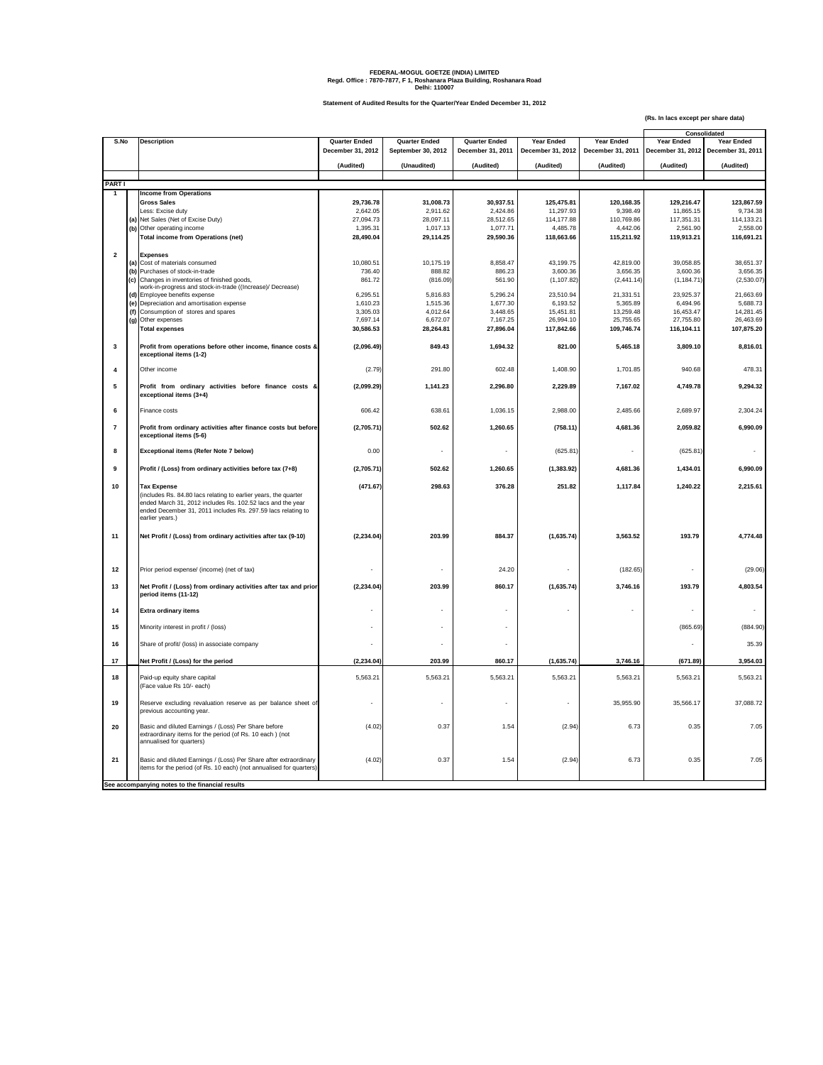**(Rs. In lacs except per share data)**

|                |  |                                                                                            |                                           |                                                   |                                                  |                                               |                                               | <b>Consolidated</b>                                        |                   |  |
|----------------|--|--------------------------------------------------------------------------------------------|-------------------------------------------|---------------------------------------------------|--------------------------------------------------|-----------------------------------------------|-----------------------------------------------|------------------------------------------------------------|-------------------|--|
| S.No           |  | <b>Description</b>                                                                         | <b>Quarter Ended</b><br>December 31, 2012 | <b>Quarter Ended</b><br><b>September 30, 2012</b> | <b>Quarter Ended</b><br><b>December 31, 2011</b> | <b>Year Ended</b><br><b>December 31, 2012</b> | <b>Year Ended</b><br><b>December 31, 2011</b> | <b>Year Ended</b><br>December 31, 2012   December 31, 2011 | <b>Year Ended</b> |  |
|                |  |                                                                                            | (Audited)                                 | (Unaudited)                                       | (Audited)                                        | (Audited)                                     | (Audited)                                     | (Audited)                                                  | (Audited)         |  |
|                |  |                                                                                            |                                           |                                                   |                                                  |                                               |                                               |                                                            |                   |  |
| <b>PART I</b>  |  |                                                                                            |                                           |                                                   |                                                  |                                               |                                               |                                                            |                   |  |
|                |  | <b>Income from Operations</b>                                                              |                                           |                                                   |                                                  |                                               |                                               |                                                            |                   |  |
|                |  | <b>Gross Sales</b>                                                                         | 29,736.78                                 | 31,008.73                                         | 30,937.51                                        | 125,475.81                                    | 120,168.35                                    | 129,216.47                                                 | 123,867.59        |  |
|                |  | Less: Excise duty                                                                          | 2,642.05                                  | 2,911.62                                          | 2,424.86                                         | 11,297.93                                     | 9,398.49                                      | 11,865.15                                                  | 9,734.38          |  |
|                |  | (a) Net Sales (Net of Excise Duty)                                                         | 27,094.73                                 | 28,097.11                                         | 28,512.65                                        | 114,177.88                                    | 110,769.86                                    | 117,351.31                                                 | 114,133.21        |  |
|                |  | (b) Other operating income                                                                 | 1,395.31                                  | 1,017.13                                          | 1,077.71                                         | 4,485.78                                      | 4,442.06                                      | 2,561.90                                                   | 2,558.00          |  |
|                |  | <b>Total income from Operations (net)</b>                                                  | 28,490.04                                 | 29,114.25                                         | 29,590.36                                        | 118,663.66                                    | 115,211.92                                    | 119,913.21                                                 | 116,691.21        |  |
|                |  |                                                                                            |                                           |                                                   |                                                  |                                               |                                               |                                                            |                   |  |
| $\mathbf{2}$   |  | <b>Expenses</b><br>(a) Cost of materials consumed                                          | 10,080.51                                 | 10,175.19                                         | 8,858.47                                         | 43,199.75                                     | 42,819.00                                     | 39,058.85                                                  | 38,651.37         |  |
|                |  | (b) Purchases of stock-in-trade                                                            | 736.40                                    | 888.82                                            | 886.23                                           | 3,600.36                                      | 3,656.35                                      | 3,600.36                                                   | 3,656.35          |  |
|                |  | (c) Changes in inventories of finished goods,                                              | 861.72                                    | (816.09)                                          | 561.90                                           | (1, 107.82)                                   | (2,441.14)                                    | (1, 184.71)                                                | (2,530.07)        |  |
|                |  | work-in-progress and stock-in-trade ((Increase)/ Decrease)                                 |                                           |                                                   |                                                  |                                               |                                               |                                                            |                   |  |
|                |  | (d) Employee benefits expense                                                              | 6,295.51                                  | 5,816.83                                          | 5,296.24                                         | 23,510.94                                     | 21,331.51                                     | 23,925.37                                                  | 21,663.69         |  |
|                |  | (e) Depreciation and amortisation expense                                                  | 1,610.23                                  | 1,515.36                                          | 1,677.30                                         | 6,193.52                                      | 5,365.89                                      | 6,494.96                                                   | 5,688.73          |  |
|                |  | (f) Consumption of stores and spares                                                       | 3,305.03                                  | 4,012.64                                          | 3,448.65                                         | 15,451.81                                     | 13,259.48                                     | 16,453.47                                                  | 14,281.45         |  |
|                |  | (g) Other expenses                                                                         | 7,697.14                                  | 6,672.07                                          | 7,167.25                                         | 26,994.10                                     | 25,755.65                                     | 27,755.80                                                  | 26,463.69         |  |
|                |  | <b>Total expenses</b>                                                                      | 30,586.53                                 | 28,264.81                                         | 27,896.04                                        | 117,842.66                                    | 109,746.74                                    | 116,104.11                                                 | 107,875.20        |  |
|                |  |                                                                                            |                                           |                                                   |                                                  |                                               |                                               |                                                            |                   |  |
| $\mathbf{3}$   |  | Profit from operations before other income, finance costs &<br>exceptional items (1-2)     | (2,096.49)                                | 849.43                                            | 1,694.32                                         | 821.00                                        | 5,465.18                                      | 3,809.10                                                   | 8,816.01          |  |
|                |  |                                                                                            |                                           |                                                   |                                                  |                                               |                                               |                                                            |                   |  |
| 4              |  | Other income                                                                               | (2.79)                                    | 291.80                                            | 602.48                                           | 1,408.90                                      | 1,701.85                                      | 940.68                                                     | 478.31            |  |
|                |  |                                                                                            |                                           |                                                   |                                                  |                                               |                                               |                                                            |                   |  |
| 5              |  | Profit from ordinary activities before finance costs &                                     | (2,099.29)                                | 1,141.23                                          | 2,296.80                                         | 2,229.89                                      | 7,167.02                                      | 4,749.78                                                   | 9,294.32          |  |
|                |  | exceptional items (3+4)                                                                    |                                           |                                                   |                                                  |                                               |                                               |                                                            |                   |  |
|                |  |                                                                                            |                                           |                                                   |                                                  |                                               |                                               |                                                            |                   |  |
| 6              |  | Finance costs                                                                              | 606.42                                    | 638.61                                            | 1,036.15                                         | 2,988.00                                      | 2,485.66                                      | 2,689.97                                                   | 2,304.24          |  |
|                |  |                                                                                            |                                           | 502.62                                            |                                                  |                                               |                                               |                                                            |                   |  |
| $\overline{7}$ |  | Profit from ordinary activities after finance costs but before<br>exceptional items (5-6)  | (2,705.71)                                |                                                   | 1,260.65                                         | (758.11)                                      | 4,681.36                                      | 2,059.82                                                   | 6,990.09          |  |
|                |  |                                                                                            |                                           |                                                   |                                                  |                                               |                                               |                                                            |                   |  |
| 8              |  | <b>Exceptional items (Refer Note 7 below)</b>                                              | 0.00                                      |                                                   |                                                  | (625.81)                                      |                                               | (625.81)                                                   |                   |  |
|                |  |                                                                                            |                                           |                                                   |                                                  |                                               |                                               |                                                            |                   |  |
| 9              |  | Profit / (Loss) from ordinary activities before tax (7+8)                                  | (2,705.71)                                | 502.62                                            | 1,260.65                                         | (1, 383.92)                                   | 4,681.36                                      | 1,434.01                                                   | 6,990.09          |  |
|                |  |                                                                                            |                                           |                                                   |                                                  |                                               |                                               |                                                            |                   |  |
| 10             |  | <b>Tax Expense</b>                                                                         | (471.67)                                  | 298.63                                            | 376.28                                           | 251.82                                        | 1,117.84                                      | 1,240.22                                                   | 2,215.61          |  |
|                |  | includes Rs. 84.80 lacs relating to earlier years, the quarter                             |                                           |                                                   |                                                  |                                               |                                               |                                                            |                   |  |
|                |  | ended March 31, 2012 includes Rs. 102.52 lacs and the year                                 |                                           |                                                   |                                                  |                                               |                                               |                                                            |                   |  |
|                |  | ended December 31, 2011 includes Rs. 297.59 lacs relating to<br>earlier years.)            |                                           |                                                   |                                                  |                                               |                                               |                                                            |                   |  |
|                |  |                                                                                            |                                           |                                                   |                                                  |                                               |                                               |                                                            |                   |  |
| 11             |  | Net Profit / (Loss) from ordinary activities after tax (9-10)                              | (2, 234.04)                               | 203.99                                            | 884.37                                           | (1,635.74)                                    | 3,563.52                                      | 193.79                                                     | 4,774.48          |  |
|                |  |                                                                                            |                                           |                                                   |                                                  |                                               |                                               |                                                            |                   |  |
|                |  |                                                                                            |                                           |                                                   |                                                  |                                               |                                               |                                                            |                   |  |
|                |  |                                                                                            |                                           |                                                   |                                                  |                                               |                                               |                                                            |                   |  |
| 12             |  | Prior period expense/ (income) (net of tax)                                                |                                           |                                                   | 24.20                                            |                                               | (182.65)                                      |                                                            | (29.06)           |  |
|                |  |                                                                                            |                                           |                                                   |                                                  |                                               |                                               |                                                            |                   |  |
| 13             |  | Net Profit / (Loss) from ordinary activities after tax and prior                           | (2, 234.04)                               | 203.99                                            | 860.17                                           | (1,635.74)                                    | 3,746.16                                      | 193.79                                                     | 4,803.54          |  |
|                |  | period items (11-12)                                                                       |                                           |                                                   |                                                  |                                               |                                               |                                                            |                   |  |
|                |  |                                                                                            |                                           |                                                   |                                                  |                                               |                                               |                                                            |                   |  |
| 14             |  | <b>Extra ordinary items</b>                                                                |                                           | $\overline{\phantom{a}}$                          |                                                  |                                               |                                               |                                                            |                   |  |
| 15             |  | Minority interest in profit / (loss)                                                       |                                           | $\blacksquare$                                    |                                                  |                                               |                                               | (865.69)                                                   | (884.90)          |  |
|                |  |                                                                                            |                                           |                                                   |                                                  |                                               |                                               |                                                            |                   |  |
| 16             |  | Share of profit/ (loss) in associate company                                               |                                           |                                                   |                                                  |                                               |                                               |                                                            | 35.39             |  |
|                |  |                                                                                            |                                           |                                                   |                                                  |                                               |                                               |                                                            |                   |  |
| 17             |  | Net Profit / (Loss) for the period                                                         | (2, 234.04)                               | 203.99                                            | 860.17                                           | (1,635.74)                                    | 3,746.16                                      | (671.89)                                                   | 3,954.03          |  |
|                |  |                                                                                            |                                           |                                                   |                                                  |                                               |                                               |                                                            |                   |  |
| 18             |  | Paid-up equity share capital                                                               | 5,563.21                                  | 5,563.21                                          | 5,563.21                                         | 5,563.21                                      | 5,563.21                                      | 5,563.21                                                   | 5,563.21          |  |
|                |  | Face value Rs 10/- each)                                                                   |                                           |                                                   |                                                  |                                               |                                               |                                                            |                   |  |
|                |  |                                                                                            |                                           |                                                   |                                                  |                                               |                                               |                                                            |                   |  |
| 19             |  | Reserve excluding revaluation reserve as per balance sheet of<br>previous accounting year. |                                           | ۰                                                 | $\overline{\phantom{0}}$                         |                                               | 35,955.90                                     | 35,566.17                                                  | 37,088.72         |  |
|                |  |                                                                                            |                                           |                                                   |                                                  |                                               |                                               |                                                            |                   |  |
| 20             |  | Basic and diluted Earnings / (Loss) Per Share before                                       | (4.02)                                    | 0.37                                              | 1.54                                             | (2.94)                                        | 6.73                                          | 0.35                                                       | 7.05              |  |
|                |  | extraordinary items for the period (of Rs. 10 each) (not                                   |                                           |                                                   |                                                  |                                               |                                               |                                                            |                   |  |
|                |  | annualised for quarters)                                                                   |                                           |                                                   |                                                  |                                               |                                               |                                                            |                   |  |
|                |  |                                                                                            |                                           |                                                   |                                                  |                                               |                                               |                                                            |                   |  |
| 21             |  | Basic and diluted Earnings / (Loss) Per Share after extraordinary                          | (4.02)                                    | 0.37                                              | 1.54                                             | (2.94)                                        | 6.73                                          | 0.35                                                       | 7.05              |  |
|                |  | items for the period (of Rs. 10 each) (not annualised for quarters)                        |                                           |                                                   |                                                  |                                               |                                               |                                                            |                   |  |
|                |  |                                                                                            |                                           |                                                   |                                                  |                                               |                                               |                                                            |                   |  |
|                |  | See accompanying notes to the financial results                                            |                                           |                                                   |                                                  |                                               |                                               |                                                            |                   |  |

## **FEDERAL-MOGUL GOETZE (INDIA) LIMITED Regd. Office : 7870-7877, F 1, Roshanara Plaza Building, Roshanara Road Delhi: 110007**

**Statement of Audited Results for the Quarter/Year Ended December 31, 2012**